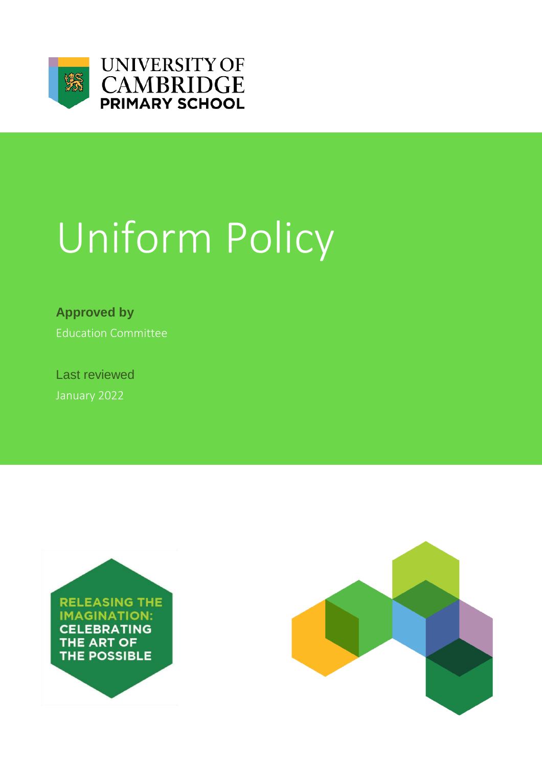



# Uniform Policy

**Approved by** Education Committee

Last reviewed January 2022



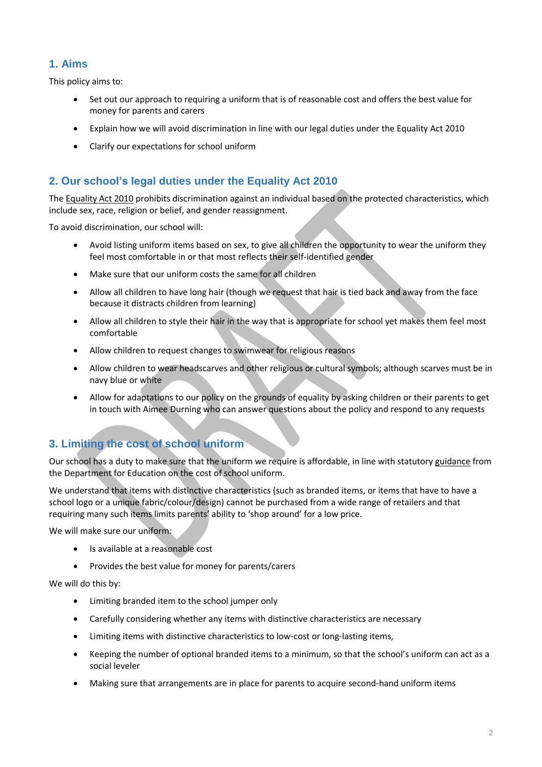# **1. Aims**

This policy aims to:

- Set out our approach to requiring a uniform that is of reasonable cost and offers the best value for money for parents and carers
- Explain how we will avoid discrimination in line with our legal duties under the Equality Act 2010
- Clarify our expectations for school uniform

## **2. Our school's legal duties under the Equality Act 2010**

The [Equality Act 2010](https://www.legislation.gov.uk/ukpga/2010/15/contents) prohibits discrimination against an individual based on the protected characteristics, which include sex, race, religion or belief, and gender reassignment.

To avoid discrimination, our school will:

- Avoid listing uniform items based on sex, to give all children the opportunity to wear the uniform they feel most comfortable in or that most reflects their self-identified gender
- Make sure that our uniform costs the same for all children
- Allow all children to have long hair (though we request that hair is tied back and away from the face because it distracts children from learning)
- Allow all children to style their hair in the way that is appropriate for school yet makes them feel most comfortable
- Allow children to request changes to swimwear for religious reasons
- Allow children to wear headscarves and other religious or cultural symbols; although scarves must be in navy blue or white
- Allow for adaptations to our policy on the grounds of equality by asking children or their parents to get in touch with Aimee Durning who can answer questions about the policy and respond to any requests

## **3. Limiting the cost of school uniform**

Our school has a duty to make sure that the uniform we require is affordable, in line with statutor[y guidance](https://www.gov.uk/government/publications/cost-of-school-uniforms/cost-of-school-uniforms) from the Department for Education on the cost of school uniform.

We understand that items with distinctive characteristics (such as branded items, or items that have to have a school logo or a unique fabric/colour/design) cannot be purchased from a wide range of retailers and that requiring many such items limits parents' ability to 'shop around' for a low price.

We will make sure our uniform:

- Is available at a reasonable cost
- Provides the best value for money for parents/carers

We will do this by:

- Limiting branded item to the school jumper only
- Carefully considering whether any items with distinctive characteristics are necessary
- Limiting items with distinctive characteristics to low-cost or long-lasting items,
- Keeping the number of optional branded items to a minimum, so that the school's uniform can act as a social leveler
- Making sure that arrangements are in place for parents to acquire second-hand uniform items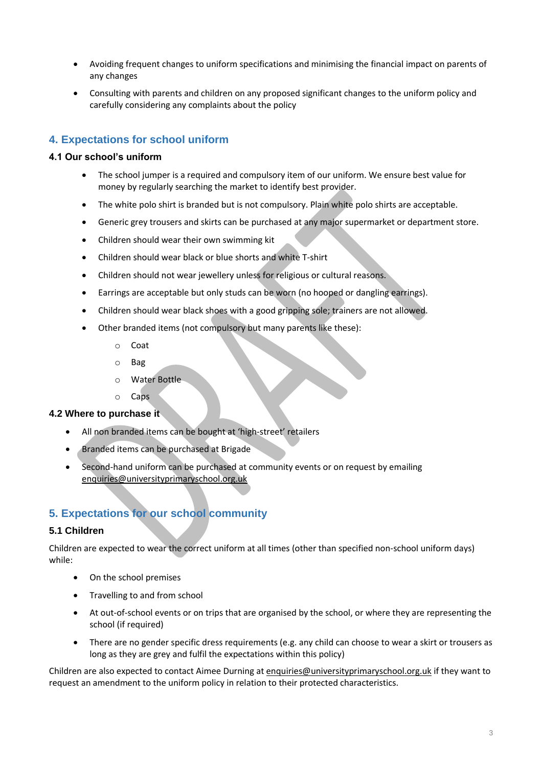- Avoiding frequent changes to uniform specifications and minimising the financial impact on parents of any changes
- Consulting with parents and children on any proposed significant changes to the uniform policy and carefully considering any complaints about the policy

# **4. Expectations for school uniform**

#### **4.1 Our school's uniform**

- The school jumper is a required and compulsory item of our uniform. We ensure best value for money by regularly searching the market to identify best provider.
- The white polo shirt is branded but is not compulsory. Plain white polo shirts are acceptable.
- Generic grey trousers and skirts can be purchased at any major supermarket or department store.
- Children should wear their own swimming kit
- Children should wear black or blue shorts and white T-shirt
- Children should not wear jewellery unless for religious or cultural reasons.
- Earrings are acceptable but only studs can be worn (no hooped or dangling earrings).
- Children should wear black shoes with a good gripping sole; trainers are not allowed.
- Other branded items (not compulsory but many parents like these):
	- o Coat
	- o Bag
	- o Water Bottle
	- o Caps

#### **4.2 Where to purchase it**

- All non branded items can be bought at 'high-street' retailers
- **Branded items can be purchased at Brigade**
- Second-hand uniform can be purchased at community events or on request by emailing [enquiries@universityprimaryschool.org.uk](mailto:enquiries@universityprimaryschool.org.uk)

## **5. Expectations for our school community**

#### **5.1 Children**

Children are expected to wear the correct uniform at all times (other than specified non-school uniform days) while:

- On the school premises
- Travelling to and from school
- At out-of-school events or on trips that are organised by the school, or where they are representing the school (if required)
- There are no gender specific dress requirements (e.g. any child can choose to wear a skirt or trousers as long as they are grey and fulfil the expectations within this policy)

Children are also expected to contact Aimee Durning a[t enquiries@universityprimaryschool.org.uk](mailto:enquiries@universityprimaryschool.org.uk) if they want to request an amendment to the uniform policy in relation to their protected characteristics.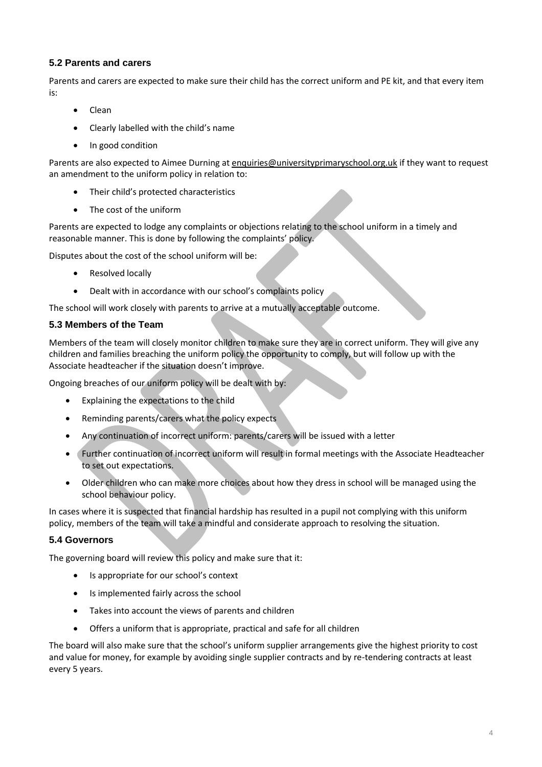#### **5.2 Parents and carers**

Parents and carers are expected to make sure their child has the correct uniform and PE kit, and that every item is:

- Clean
- Clearly labelled with the child's name
- In good condition

Parents are also expected to Aimee Durning a[t enquiries@universityprimaryschool.org.uk](mailto:enquiries@universityprimaryschool.org.uk) if they want to request an amendment to the uniform policy in relation to:

- Their child's protected characteristics
- The cost of the uniform

Parents are expected to lodge any complaints or objections relating to the school uniform in a timely and reasonable manner. This is done by following the complaints' policy.

Disputes about the cost of the school uniform will be:

- Resolved locally
- Dealt with in accordance with our school's complaints policy

The school will work closely with parents to arrive at a mutually acceptable outcome.

#### **5.3 Members of the Team**

Members of the team will closely monitor children to make sure they are in correct uniform. They will give any children and families breaching the uniform policy the opportunity to comply, but will follow up with the Associate headteacher if the situation doesn't improve.

Ongoing breaches of our uniform policy will be dealt with by:

- Explaining the expectations to the child
- Reminding parents/carers what the policy expects
- Any continuation of incorrect uniform: parents/carers will be issued with a letter
- Further continuation of incorrect uniform will result in formal meetings with the Associate Headteacher to set out expectations.
- Older children who can make more choices about how they dress in school will be managed using the school behaviour policy.

In cases where it is suspected that financial hardship has resulted in a pupil not complying with this uniform policy, members of the team will take a mindful and considerate approach to resolving the situation.

#### **5.4 Governors**

The governing board will review this policy and make sure that it:

- Is appropriate for our school's context
- Is implemented fairly across the school
- Takes into account the views of parents and children
- Offers a uniform that is appropriate, practical and safe for all children

The board will also make sure that the school's uniform supplier arrangements give the highest priority to cost and value for money, for example by avoiding single supplier contracts and by re-tendering contracts at least every 5 years.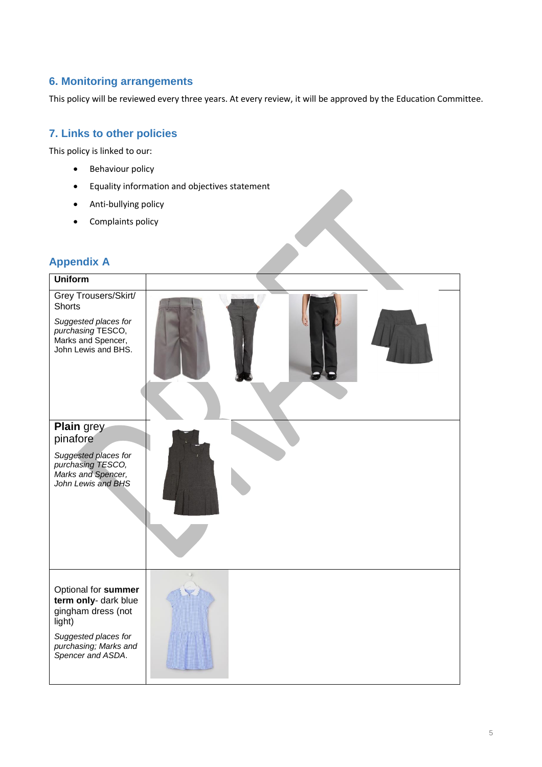## **6. Monitoring arrangements**

This policy will be reviewed every three years. At every review, it will be approved by the Education Committee.

### **7. Links to other policies**

This policy is linked to our:

- Behaviour policy
- Equality information and objectives statement
- Anti-bullying policy
- Complaints policy

# **Appendix A**

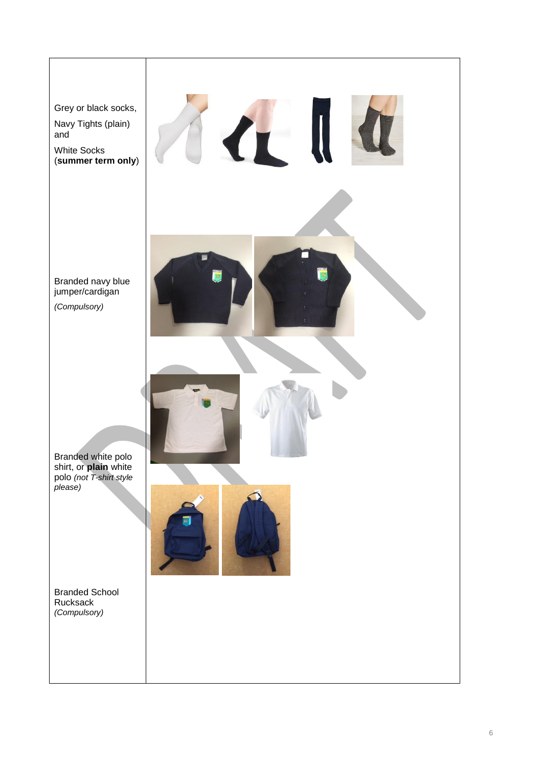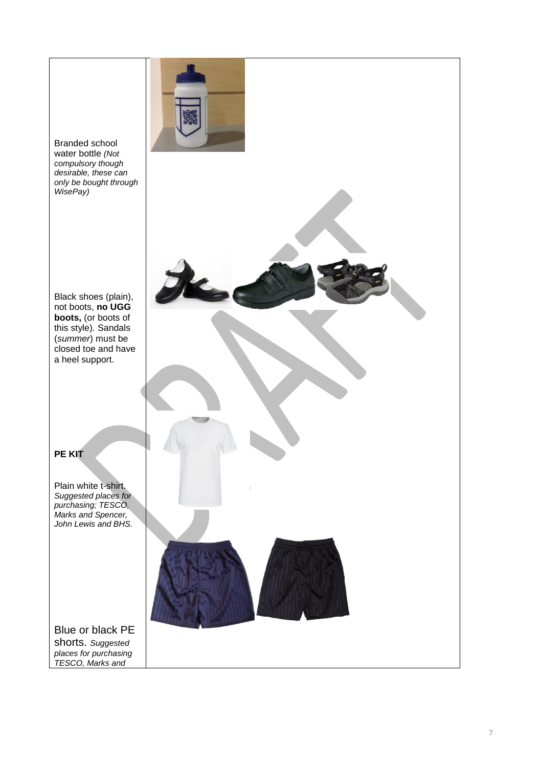